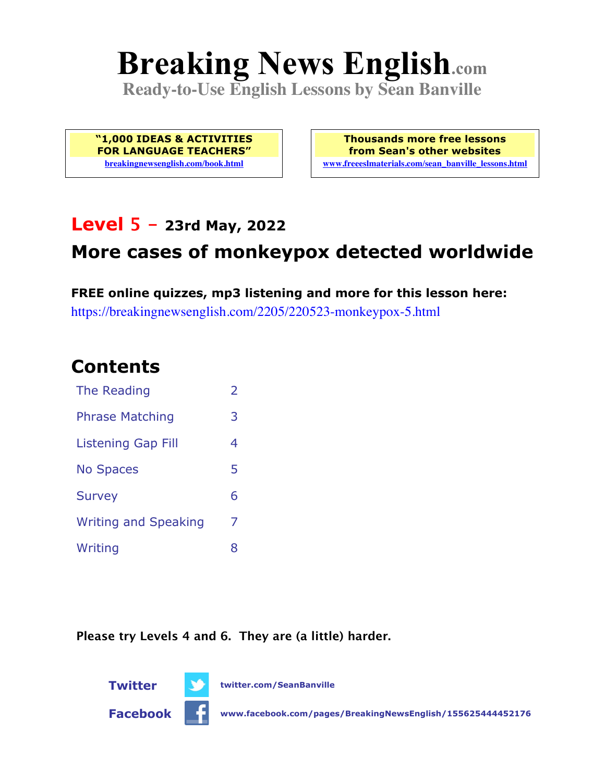# **Breaking News English.com**

**Ready-to-Use English Lessons by Sean Banville**

**"1,000 IDEAS & ACTIVITIES FOR LANGUAGE TEACHERS" breakingnewsenglish.com/book.html**

**Thousands more free lessons from Sean's other websites www.freeeslmaterials.com/sean\_banville\_lessons.html**

## **Level 5 - 23rd May, 2022**

# **More cases of monkeypox detected worldwide**

**FREE online quizzes, mp3 listening and more for this lesson here:** https://breakingnewsenglish.com/2205/220523-monkeypox-5.html

### **Contents**

| The Reading                 | $\overline{\phantom{a}}$ |
|-----------------------------|--------------------------|
| <b>Phrase Matching</b>      | 3                        |
| Listening Gap Fill          | 4                        |
| <b>No Spaces</b>            | 5                        |
| <b>Survey</b>               | 6                        |
| <b>Writing and Speaking</b> | 7                        |
| Writing                     | 8                        |

**Please try Levels 4 and 6. They are (a little) harder.**





**Facebook www.facebook.com/pages/BreakingNewsEnglish/155625444452176**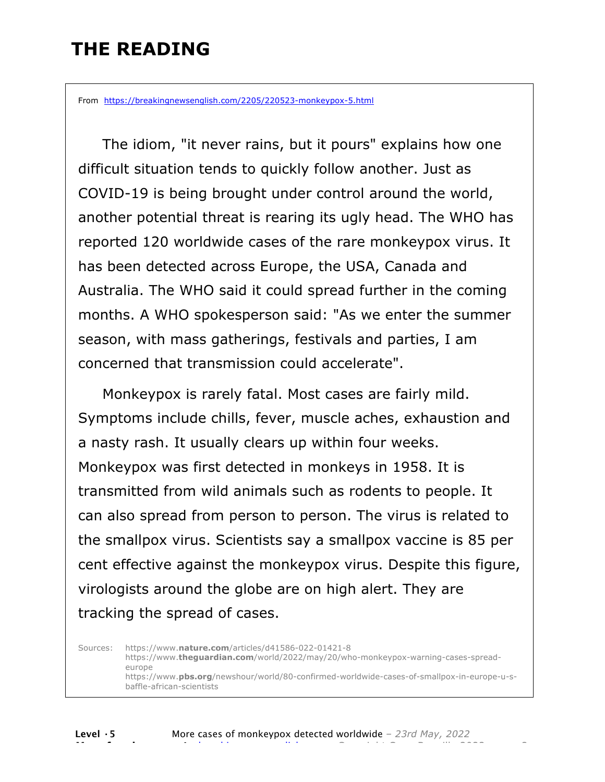# **THE READING**

From https://breakingnewsenglish.com/2205/220523-monkeypox-5.html

 The idiom, "it never rains, but it pours" explains how one difficult situation tends to quickly follow another. Just as COVID-19 is being brought under control around the world, another potential threat is rearing its ugly head. The WHO has reported 120 worldwide cases of the rare monkeypox virus. It has been detected across Europe, the USA, Canada and Australia. The WHO said it could spread further in the coming months. A WHO spokesperson said: "As we enter the summer season, with mass gatherings, festivals and parties, I am concerned that transmission could accelerate".

Monkeypox is rarely fatal. Most cases are fairly mild. Symptoms include chills, fever, muscle aches, exhaustion and a nasty rash. It usually clears up within four weeks. Monkeypox was first detected in monkeys in 1958. It is transmitted from wild animals such as rodents to people. It can also spread from person to person. The virus is related to the smallpox virus. Scientists say a smallpox vaccine is 85 per cent effective against the monkeypox virus. Despite this figure, virologists around the globe are on high alert. They are tracking the spread of cases.

Sources: https://www.**nature.com**/articles/d41586-022-01421-8 https://www.**theguardian.com**/world/2022/may/20/who-monkeypox-warning-cases-spreadeurope https://www.**pbs.org**/newshour/world/80-confirmed-worldwide-cases-of-smallpox-in-europe-u-sbaffle-african-scientists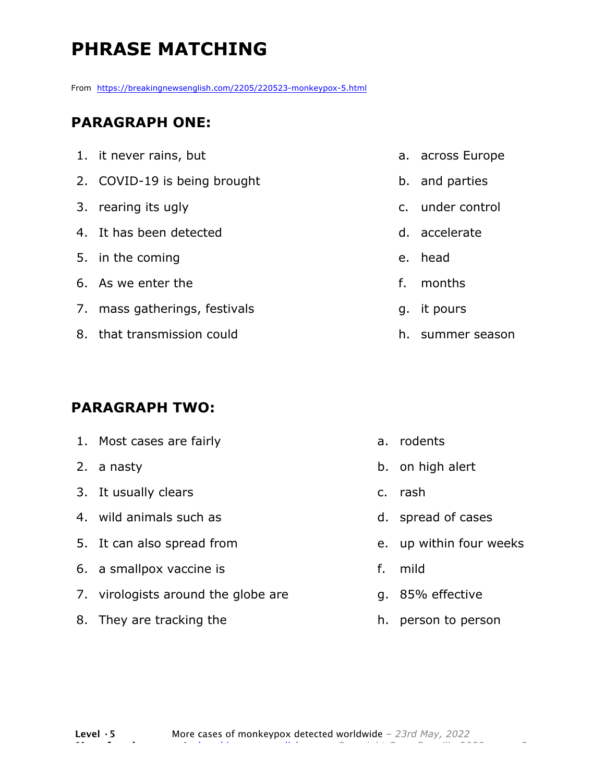# **PHRASE MATCHING**

From https://breakingnewsenglish.com/2205/220523-monkeypox-5.html

#### **PARAGRAPH ONE:**

| 1. it never rains, but        |    | a. across Europe |
|-------------------------------|----|------------------|
| 2. COVID-19 is being brought  |    | b. and parties   |
| 3. rearing its ugly           |    | c. under control |
| 4. It has been detected       |    | d. accelerate    |
| 5. in the coming              |    | e. head          |
| 6. As we enter the            | f. | months           |
| 7. mass gatherings, festivals |    | q. it pours      |
| 8. that transmission could    |    | h. summer season |
|                               |    |                  |

#### **PARAGRAPH TWO:**

| 1. Most cases are fairly            |    | a. rodents              |
|-------------------------------------|----|-------------------------|
| 2. a nasty                          |    | b. on high alert        |
| 3. It usually clears                |    | c. rash                 |
| 4. wild animals such as             |    | d. spread of cases      |
| 5. It can also spread from          |    | e. up within four weeks |
| 6. a smallpox vaccine is            | f. | mild                    |
| 7. virologists around the globe are |    | g. 85% effective        |
| 8. They are tracking the            |    | h. person to person     |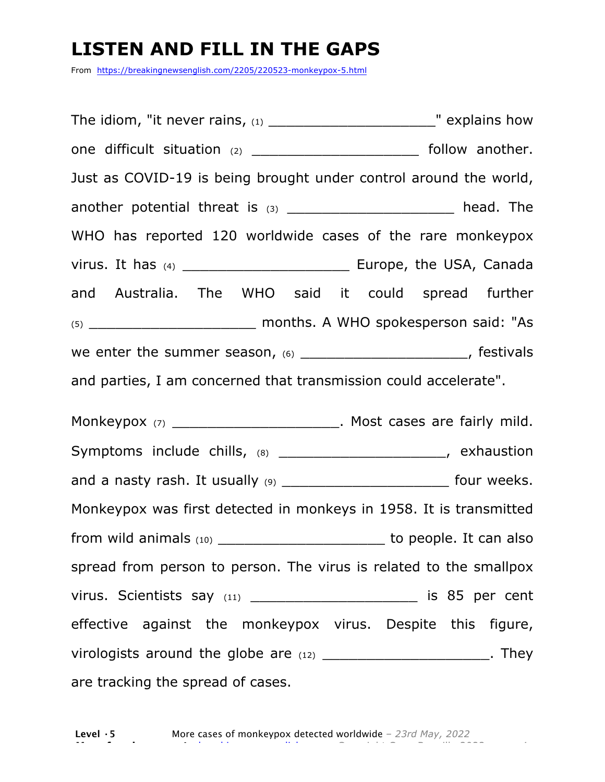### **LISTEN AND FILL IN THE GAPS**

From https://breakingnewsenglish.com/2205/220523-monkeypox-5.html

The idiom, "it never rains,  $(1)$  \_\_\_\_\_\_\_\_\_\_\_\_\_\_\_\_\_\_\_\_\_\_\_\_\_\_\_\_\_\_\_\_" explains how one difficult situation (2) \_\_\_\_\_\_\_\_\_\_\_\_\_\_\_\_\_\_\_\_\_\_\_\_\_\_ follow another. Just as COVID-19 is being brought under control around the world, another potential threat is  $(3)$  \_\_\_\_\_\_\_\_\_\_\_\_\_\_\_\_\_\_\_\_\_\_ head. The WHO has reported 120 worldwide cases of the rare monkeypox virus. It has (4) \_\_\_\_\_\_\_\_\_\_\_\_\_\_\_\_\_\_\_ Europe, the USA, Canada and Australia. The WHO said it could spread further (5) \_\_\_\_\_\_\_\_\_\_\_\_\_\_\_\_\_\_\_ months. A WHO spokesperson said: "As we enter the summer season, (6) \_\_\_\_\_\_\_\_\_\_\_\_\_\_\_\_\_\_\_\_\_\_, festivals and parties, I am concerned that transmission could accelerate".

Monkeypox (7) \_\_\_\_\_\_\_\_\_\_\_\_\_\_\_\_\_\_\_\_\_\_\_\_\_\_. Most cases are fairly mild. Symptoms include chills, (8) \_\_\_\_\_\_\_\_\_\_\_\_\_\_\_\_\_\_\_\_\_\_\_, exhaustion and a nasty rash. It usually (9) \_\_\_\_\_\_\_\_\_\_\_\_\_\_\_\_\_\_\_\_\_\_\_\_\_\_ four weeks. Monkeypox was first detected in monkeys in 1958. It is transmitted from wild animals  $(10)$  \_\_\_\_\_\_\_\_\_\_\_\_\_\_\_\_\_\_\_\_\_\_\_\_\_\_\_\_\_\_\_\_ to people. It can also spread from person to person. The virus is related to the smallpox virus. Scientists say  $(11)$  \_\_\_\_\_\_\_\_\_\_\_\_\_\_\_\_\_\_\_\_\_\_\_\_\_\_ is 85 per cent effective against the monkeypox virus. Despite this figure, virologists around the globe are (12) \_\_\_\_\_\_\_\_\_\_\_\_\_\_\_\_\_\_\_\_\_\_\_\_. They are tracking the spread of cases.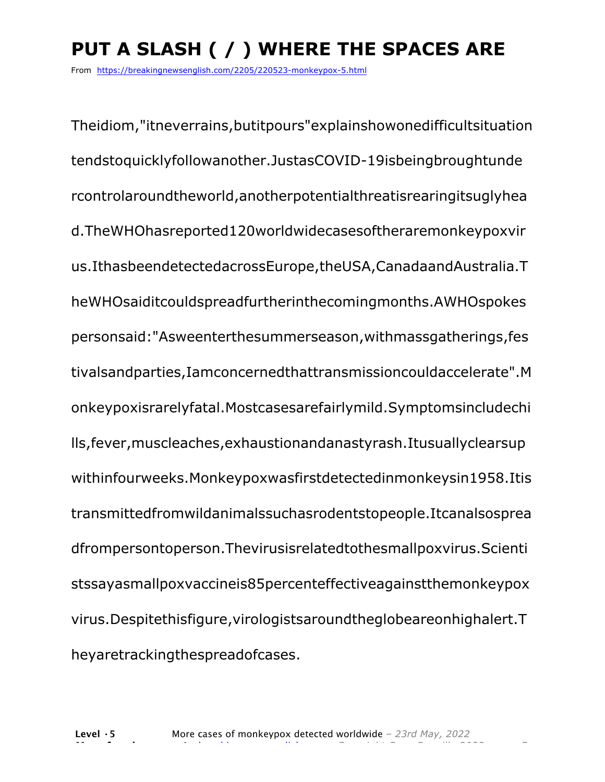# **PUT A SLASH ( / ) WHERE THE SPACES ARE**

From https://breakingnewsenglish.com/2205/220523-monkeypox-5.html

Theidiom,"itneverrains,butitpours"explainshowonedifficultsituation tendstoquicklyfollowanother.JustasCOVID-19isbeingbroughtunde rcontrolaroundtheworld,anotherpotentialthreatisrearingitsuglyhea d.TheWHOhasreported120worldwidecasesoftheraremonkeypoxvir us.IthasbeendetectedacrossEurope,theUSA,CanadaandAustralia.T heWHOsaiditcouldspreadfurtherinthecomingmonths.AWHOspokes personsaid:"Asweenterthesummerseason,withmassgatherings,fes tivalsandparties,Iamconcernedthattransmissioncouldaccelerate".M onkeypoxisrarelyfatal.Mostcasesarefairlymild.Symptomsincludechi lls,fever,muscleaches,exhaustionandanastyrash.Itusuallyclearsup withinfourweeks.Monkeypoxwasfirstdetectedinmonkeysin1958.Itis transmittedfromwildanimalssuchasrodentstopeople.Itcanalsosprea dfrompersontoperson.Thevirusisrelatedtothesmallpoxvirus.Scienti stssayasmallpoxvaccineis85percenteffectiveagainstthemonkeypox virus.Despitethisfigure,virologistsaroundtheglobeareonhighalert.T heyaretrackingthespreadofcases.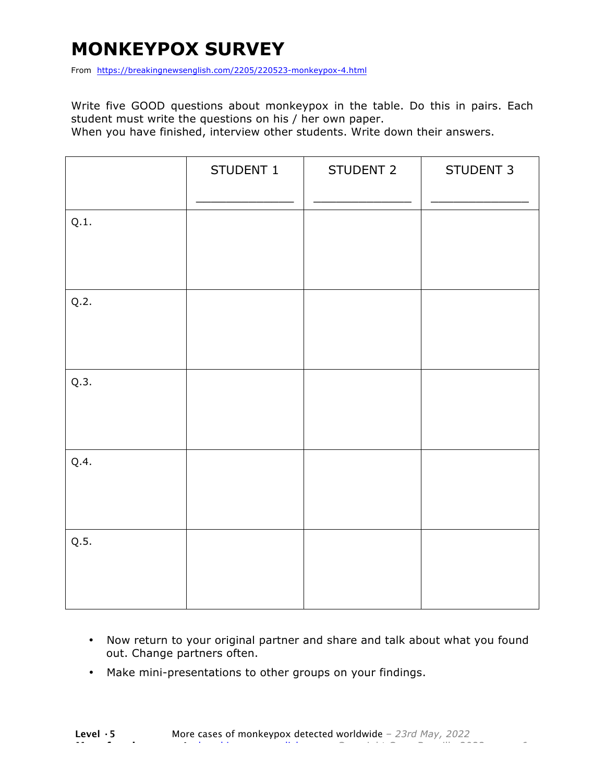# **MONKEYPOX SURVEY**

From https://breakingnewsenglish.com/2205/220523-monkeypox-4.html

Write five GOOD questions about monkeypox in the table. Do this in pairs. Each student must write the questions on his / her own paper.

When you have finished, interview other students. Write down their answers.

|      | STUDENT 1 | STUDENT 2 | STUDENT 3 |
|------|-----------|-----------|-----------|
| Q.1. |           |           |           |
| Q.2. |           |           |           |
| Q.3. |           |           |           |
| Q.4. |           |           |           |
| Q.5. |           |           |           |

- Now return to your original partner and share and talk about what you found out. Change partners often.
- Make mini-presentations to other groups on your findings.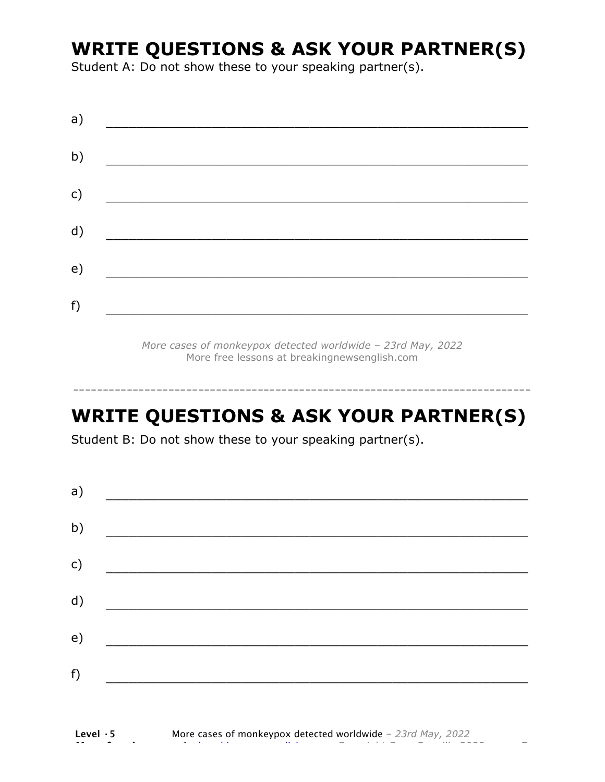# **WRITE QUESTIONS & ASK YOUR PARTNER(S)**

Student A: Do not show these to your speaking partner(s).

| a) |  |  |  |
|----|--|--|--|
| b) |  |  |  |
| c) |  |  |  |
| d) |  |  |  |
| e) |  |  |  |
| f) |  |  |  |

*More cases of monkeypox detected worldwide – 23rd May, 2022* More free lessons at breakingnewsenglish.com

## **WRITE QUESTIONS & ASK YOUR PARTNER(S)**

-----------------------------------------------------------------------------

Student B: Do not show these to your speaking partner(s).

| a) |  |  |
|----|--|--|
| b) |  |  |
| c) |  |  |
| d) |  |  |
| e) |  |  |
| f) |  |  |
|    |  |  |